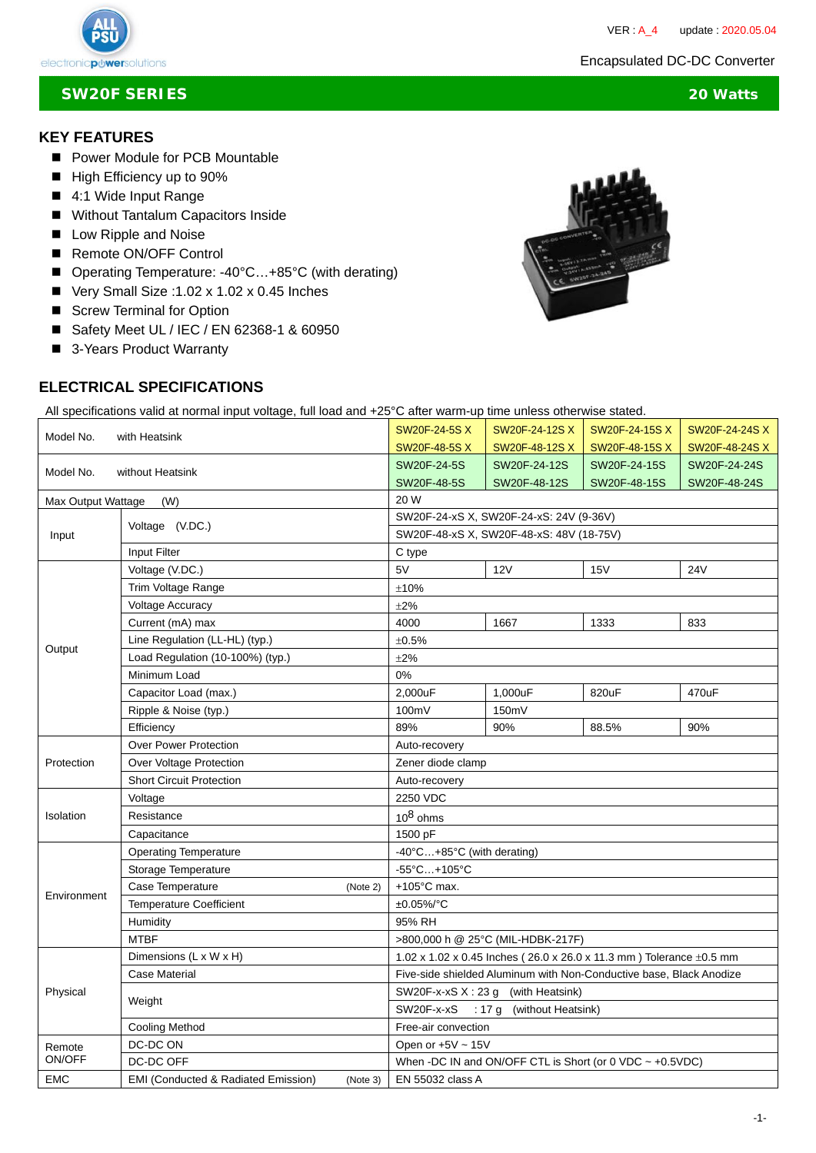

#### **KEY FEATURES**

- **Power Module for PCB Mountable**
- High Efficiency up to 90%
- 4:1 Wide Input Range
- **Without Tantalum Capacitors Inside**
- Low Ripple and Noise
- Remote ON/OFF Control
- Operating Temperature: -40°C...+85°C (with derating)
- Very Small Size :1.02 x 1.02 x 0.45 Inches
- Screw Terminal for Option
- Safety Meet UL / IEC / EN 62368-1 & 60950
- 3-Years Product Warranty

## **ELECTRICAL SPECIFICATIONS**

All specifications valid at normal input voltage, full load and +25°C after warm-up time unless otherwise stated.

| Model No.<br>with Heatsink    |                                                            | SW20F-24-5S X                                                            | SW20F-24-12S X         | SW20F-24-15S X | SW20F-24-24S X |  |
|-------------------------------|------------------------------------------------------------|--------------------------------------------------------------------------|------------------------|----------------|----------------|--|
|                               |                                                            | SW20F-48-5S X                                                            | SW20F-48-12S X         | SW20F-48-15S X | SW20F-48-24S X |  |
| Model No.<br>without Heatsink |                                                            | SW20F-24-5S                                                              | SW20F-24-12S           | SW20F-24-15S   | SW20F-24-24S   |  |
|                               |                                                            | SW20F-48-5S                                                              | SW20F-48-12S           | SW20F-48-15S   | SW20F-48-24S   |  |
| Max Output Wattage<br>(W)     |                                                            | 20 W                                                                     |                        |                |                |  |
|                               | Voltage (V.DC.)                                            | SW20F-24-xS X, SW20F-24-xS: 24V (9-36V)                                  |                        |                |                |  |
| Input                         |                                                            | SW20F-48-xS X, SW20F-48-xS: 48V (18-75V)                                 |                        |                |                |  |
|                               | Input Filter                                               | C type                                                                   |                        |                |                |  |
| Output                        | Voltage (V.DC.)                                            | 5V                                                                       | 12V                    | 15V            | <b>24V</b>     |  |
|                               | Trim Voltage Range                                         | ±10%                                                                     |                        |                |                |  |
|                               | <b>Voltage Accuracy</b>                                    | $\pm 2\%$                                                                |                        |                |                |  |
|                               | Current (mA) max                                           | 4000                                                                     | 1667                   | 1333           | 833            |  |
|                               | Line Regulation (LL-HL) (typ.)                             | $\pm 0.5\%$                                                              |                        |                |                |  |
|                               | Load Regulation (10-100%) (typ.)                           | $\pm 2\%$                                                                |                        |                |                |  |
|                               | Minimum Load                                               | 0%                                                                       |                        |                |                |  |
|                               | Capacitor Load (max.)                                      | 2,000uF                                                                  | 1,000uF                | 820uF          | 470uF          |  |
|                               | Ripple & Noise (typ.)                                      | 100mV                                                                    | 150mV                  |                |                |  |
|                               | Efficiency                                                 | 89%                                                                      | 90%                    | 88.5%          | 90%            |  |
| Protection                    | <b>Over Power Protection</b>                               | Auto-recovery                                                            |                        |                |                |  |
|                               | Over Voltage Protection                                    | Zener diode clamp                                                        |                        |                |                |  |
|                               | <b>Short Circuit Protection</b>                            | Auto-recovery                                                            |                        |                |                |  |
|                               | Voltage                                                    | 2250 VDC                                                                 |                        |                |                |  |
| Isolation                     | Resistance                                                 | $10^8$ ohms                                                              |                        |                |                |  |
|                               | Capacitance                                                | 1500 pF                                                                  |                        |                |                |  |
|                               | <b>Operating Temperature</b>                               | -40°C+85°C (with derating)                                               |                        |                |                |  |
|                               | Storage Temperature                                        | $-55^{\circ}$ C+105 $^{\circ}$ C                                         |                        |                |                |  |
|                               | Case Temperature<br>(Note 2)                               | $+105^{\circ}$ C max.                                                    |                        |                |                |  |
| Environment                   | <b>Temperature Coefficient</b>                             | $±0.05\%$ <sup>o</sup> C                                                 |                        |                |                |  |
|                               | Humidity                                                   | 95% RH                                                                   |                        |                |                |  |
|                               | <b>MTBF</b>                                                | >800,000 h @ 25°C (MIL-HDBK-217F)                                        |                        |                |                |  |
| Physical                      | Dimensions (L x W x H)                                     | 1.02 x 1.02 x 0.45 lnches (26.0 x 26.0 x 11.3 mm) Tolerance $\pm 0.5$ mm |                        |                |                |  |
|                               | <b>Case Material</b>                                       | Five-side shielded Aluminum with Non-Conductive base, Black Anodize      |                        |                |                |  |
|                               | Weight                                                     | SW20F-x-xS $X: 23 g$ (with Heatsink)                                     |                        |                |                |  |
|                               |                                                            | SW20F-x-xS : 17 g (without Heatsink)                                     |                        |                |                |  |
|                               | <b>Cooling Method</b>                                      | Free-air convection                                                      |                        |                |                |  |
| Remote<br>ON/OFF              | DC-DC ON                                                   |                                                                          | Open or $+5V \sim 15V$ |                |                |  |
|                               | DC-DC OFF                                                  | When -DC IN and ON/OFF CTL is Short (or 0 VDC $\sim$ +0.5VDC)            |                        |                |                |  |
| <b>EMC</b>                    | <b>EMI (Conducted &amp; Radiated Emission)</b><br>(Note 3) | EN 55032 class A                                                         |                        |                |                |  |



 $\ddot{\phantom{0}}$ 

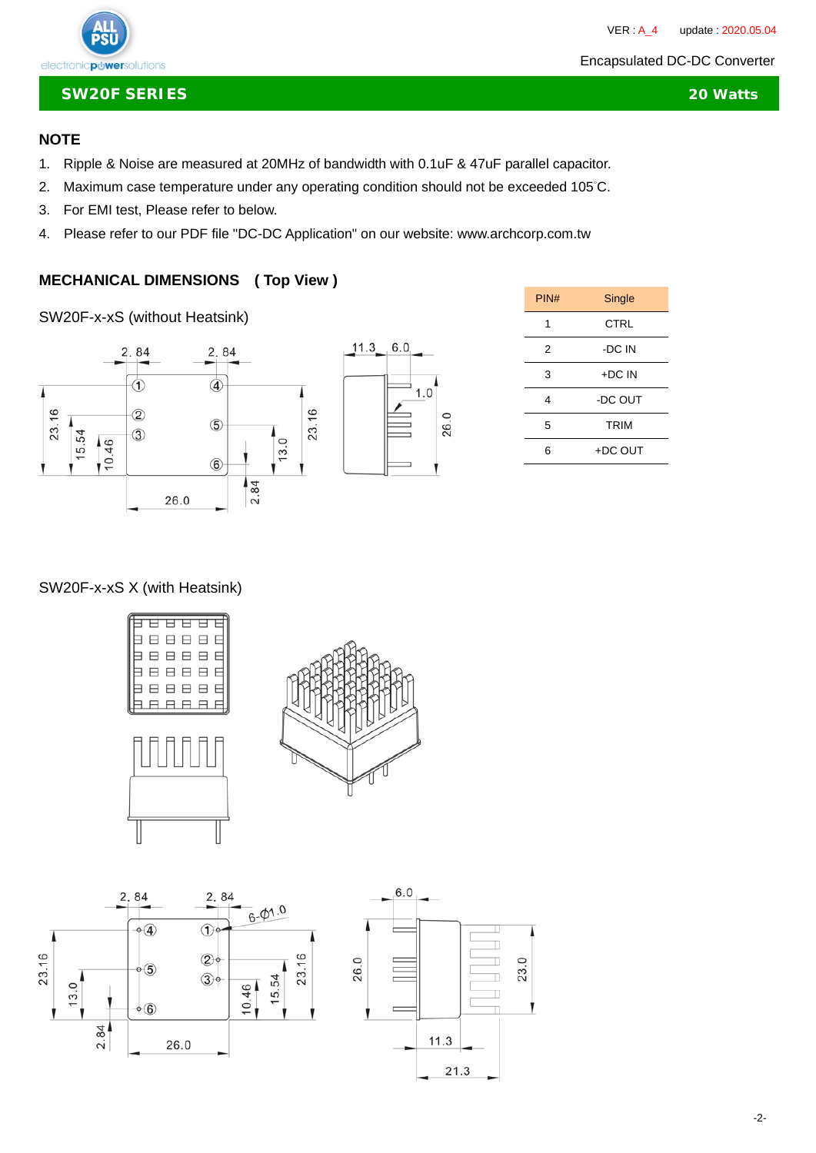

#### **SW20F SERIES 20 Watts**

## **NOTE**

- 1. Ripple & Noise are measured at 20MHz of bandwidth with 0.1uF & 47uF parallel capacitor.
- 2. Maximum case temperature under any operating condition should not be exceeded 105°C.
- 3. For EMI test, Please refer to below.
- 4. Please refer to our PDF file "DC-DC Application" on our website: www.archcorp.com.tw

## **MECHANICAL DIMENSIONS ( Top View )**

SW20F-x-xS (without Heatsink)





| PIN# | Single      |  |
|------|-------------|--|
| 1    | CTRL        |  |
| 2    | -DC IN      |  |
| 3    | +DC IN      |  |
| 4    | -DC OUT     |  |
| 5    | <b>TRIM</b> |  |
| 6    | +DC OUT     |  |

 $\ddot{\phantom{0}}$ 

## SW20F-x-xS X (with Heatsink)



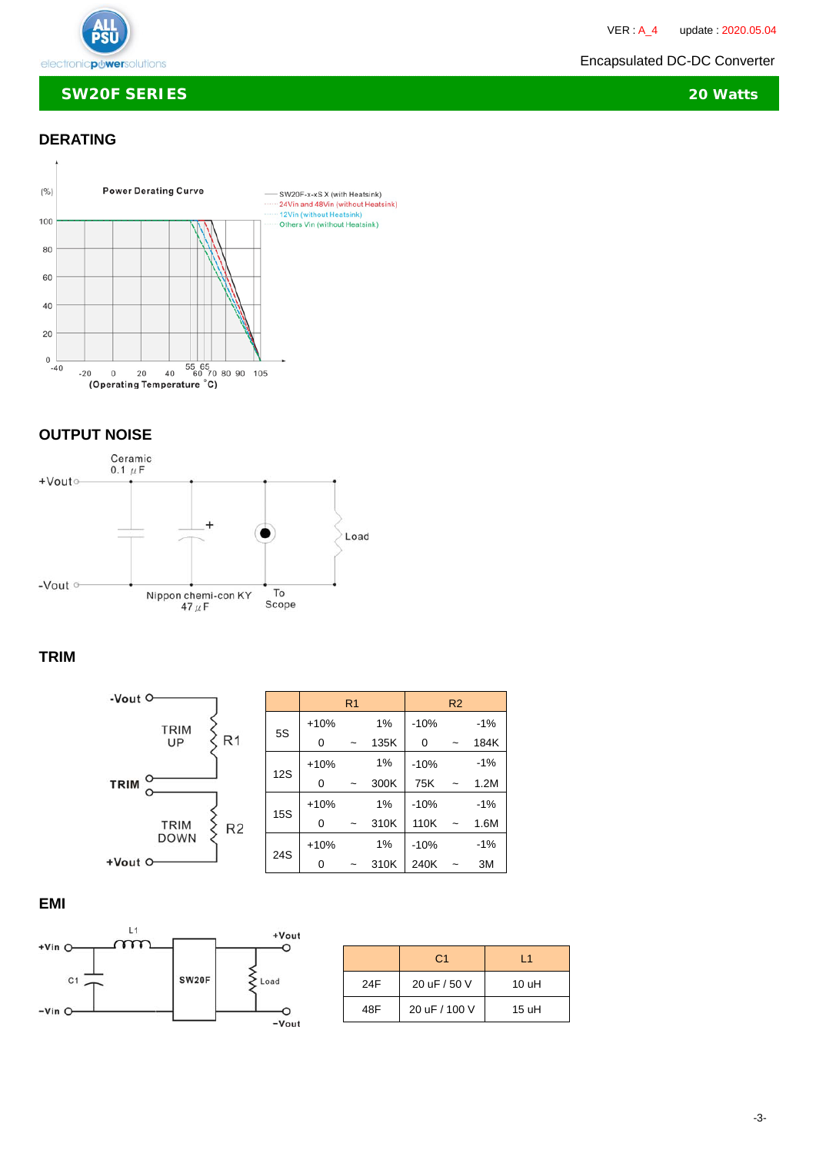

 $\ddot{\phantom{0}}$ 

#### **SW20F SERIES 20 Watts**

## **DERATING**



## **OUTPUT NOISE**



## **TRIM**



## **EMI**



|     | C <sub>1</sub> | l 1   |
|-----|----------------|-------|
| 24F | 20 uF / 50 V   | 10 uH |
| 48F | 20 uF / 100 V  | 15 uH |